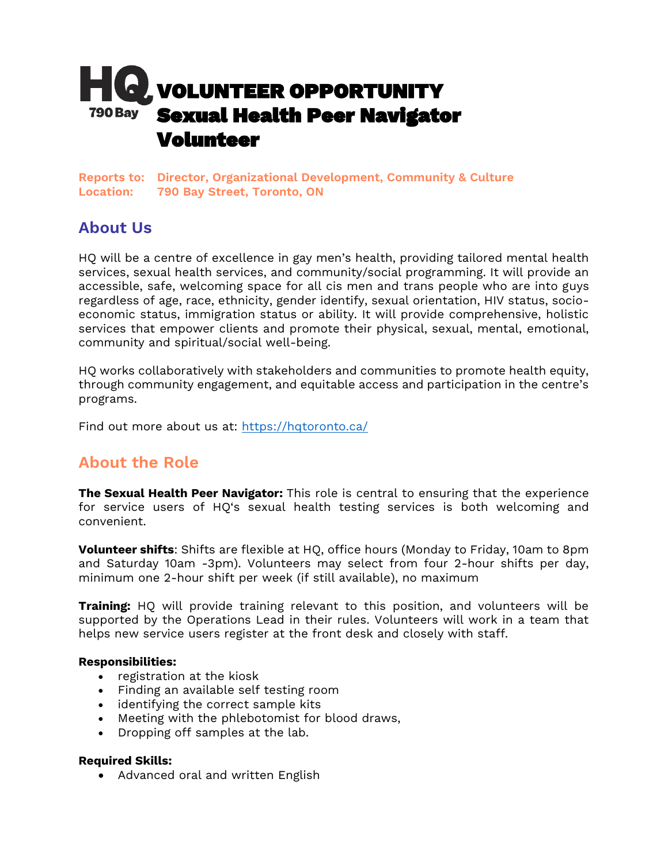

**Reports to: Director, Organizational Development, Community & Culture Location: 790 Bay Street, Toronto, ON**

# **About Us**

HQ will be a centre of excellence in gay men's health, providing tailored mental health services, sexual health services, and community/social programming. It will provide an accessible, safe, welcoming space for all cis men and trans people who are into guys regardless of age, race, ethnicity, gender identify, sexual orientation, HIV status, socioeconomic status, immigration status or ability. It will provide comprehensive, holistic services that empower clients and promote their physical, sexual, mental, emotional, community and spiritual/social well-being.

HQ works collaboratively with stakeholders and communities to promote health equity, through community engagement, and equitable access and participation in the centre's programs.

Find out more about us at:<https://hqtoronto.ca/>

# **About the Role**

**The Sexual Health Peer Navigator:** This role is central to ensuring that the experience for service users of HQ's sexual health testing services is both welcoming and convenient.

**Volunteer shifts**: Shifts are flexible at HQ, office hours (Monday to Friday, 10am to 8pm and Saturday 10am -3pm). Volunteers may select from four 2-hour shifts per day, minimum one 2-hour shift per week (if still available), no maximum

**Training:** HQ will provide training relevant to this position, and volunteers will be supported by the Operations Lead in their rules. Volunteers will work in a team that helps new service users register at the front desk and closely with staff.

## **Responsibilities:**

- registration at the kiosk
- Finding an available self testing room
- identifying the correct sample kits
- Meeting with the phlebotomist for blood draws,
- Dropping off samples at the lab.

#### **Required Skills:**

• Advanced oral and written English